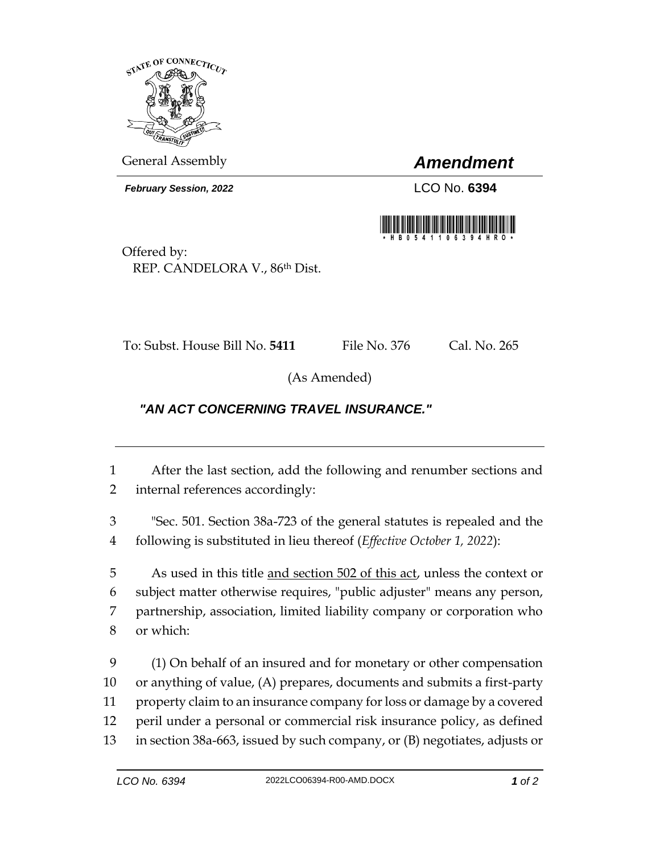

General Assembly *Amendment*

*February Session, 2022* LCO No. **6394**



Offered by: REP. CANDELORA V., 86th Dist.

To: Subst. House Bill No. **5411** File No. 376 Cal. No. 265

(As Amended)

## *"AN ACT CONCERNING TRAVEL INSURANCE."*

1 After the last section, add the following and renumber sections and 2 internal references accordingly:

3 "Sec. 501. Section 38a-723 of the general statutes is repealed and the 4 following is substituted in lieu thereof (*Effective October 1, 2022*):

5 As used in this title and section 502 of this act, unless the context or subject matter otherwise requires, "public adjuster" means any person, partnership, association, limited liability company or corporation who or which:

 (1) On behalf of an insured and for monetary or other compensation or anything of value, (A) prepares, documents and submits a first-party property claim to an insurance company for loss or damage by a covered peril under a personal or commercial risk insurance policy, as defined in section 38a-663, issued by such company, or (B) negotiates, adjusts or